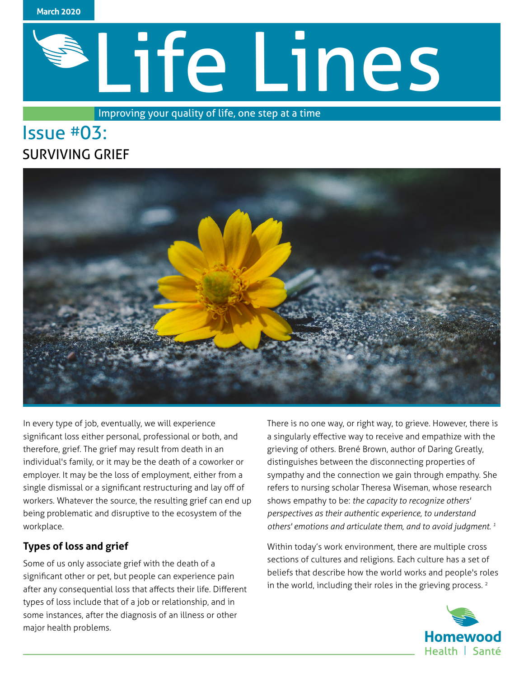

# Life Lines

Improving your quality of life, one step at a time

# Issue #03: SURVIVING GRIEF



In every type of job, eventually, we will experience significant loss either personal, professional or both, and therefore, grief. The grief may result from death in an individual's family, or it may be the death of a coworker or employer. It may be the loss of employment, either from a single dismissal or a significant restructuring and lay off of workers. Whatever the source, the resulting grief can end up being problematic and disruptive to the ecosystem of the workplace.

# **Types of loss and grief**

Some of us only associate grief with the death of a significant other or pet, but people can experience pain after any consequential loss that affects their life. Different types of loss include that of a job or relationship, and in some instances, after the diagnosis of an illness or other major health problems.

There is no one way, or right way, to grieve. However, there is a singularly effective way to receive and empathize with the grieving of others. Brené Brown, author of Daring Greatly, distinguishes between the disconnecting properties of sympathy and the connection we gain through empathy. She refers to nursing scholar Theresa Wiseman, whose research shows empathy to be: *the capacity to recognize others' perspectives as their authentic experience, to understand others' emotions and articulate them, and to avoid judgment. 1*

Within today's work environment, there are multiple cross sections of cultures and religions. Each culture has a set of beliefs that describe how the world works and people's roles in the world, including their roles in the grieving process.<sup>2</sup>

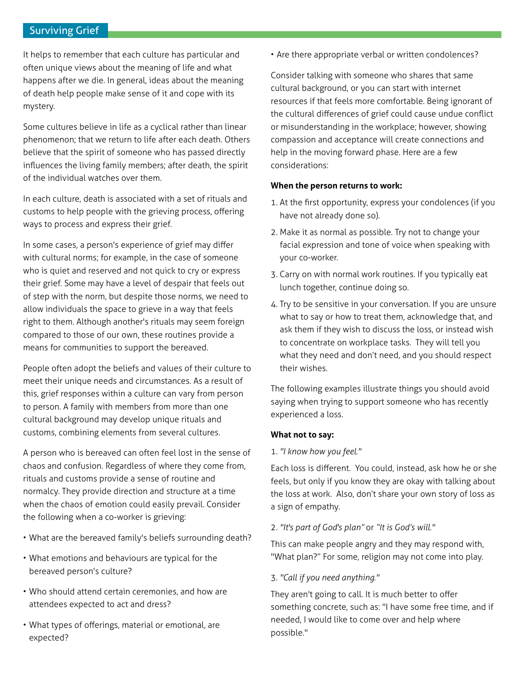## Surviving Grief

It helps to remember that each culture has particular and often unique views about the meaning of life and what happens after we die. In general, ideas about the meaning of death help people make sense of it and cope with its mystery.

Some cultures believe in life as a cyclical rather than linear phenomenon; that we return to life after each death. Others believe that the spirit of someone who has passed directly influences the living family members; after death, the spirit of the individual watches over them.

In each culture, death is associated with a set of rituals and customs to help people with the grieving process, offering ways to process and express their grief.

In some cases, a person's experience of grief may differ with cultural norms; for example, in the case of someone who is quiet and reserved and not quick to cry or express their grief. Some may have a level of despair that feels out of step with the norm, but despite those norms, we need to allow individuals the space to grieve in a way that feels right to them. Although another's rituals may seem foreign compared to those of our own, these routines provide a means for communities to support the bereaved.

People often adopt the beliefs and values of their culture to meet their unique needs and circumstances. As a result of this, grief responses within a culture can vary from person to person. A family with members from more than one cultural background may develop unique rituals and customs, combining elements from several cultures.

A person who is bereaved can often feel lost in the sense of chaos and confusion. Regardless of where they come from, rituals and customs provide a sense of routine and normalcy. They provide direction and structure at a time when the chaos of emotion could easily prevail. Consider the following when a co-worker is grieving:

- What are the bereaved family's beliefs surrounding death?
- What emotions and behaviours are typical for the bereaved person's culture?
- Who should attend certain ceremonies, and how are attendees expected to act and dress?
- What types of offerings, material or emotional, are expected?

• Are there appropriate verbal or written condolences?

Consider talking with someone who shares that same cultural background, or you can start with internet resources if that feels more comfortable. Being ignorant of the cultural differences of grief could cause undue conflict or misunderstanding in the workplace; however, showing compassion and acceptance will create connections and help in the moving forward phase. Here are a few considerations:

#### **When the person returns to work:**

- 1. At the first opportunity, express your condolences (if you have not already done so).
- 2. Make it as normal as possible. Try not to change your facial expression and tone of voice when speaking with your co-worker.
- 3. Carry on with normal work routines. If you typically eat lunch together, continue doing so.
- 4. Try to be sensitive in your conversation. If you are unsure what to say or how to treat them, acknowledge that, and ask them if they wish to discuss the loss, or instead wish to concentrate on workplace tasks. They will tell you what they need and don't need, and you should respect their wishes.

The following examples illustrate things you should avoid saying when trying to support someone who has recently experienced a loss.

#### **What not to say:**

#### 1. *"I know how you feel."*

Each loss is different. You could, instead, ask how he or she feels, but only if you know they are okay with talking about the loss at work. Also, don't share your own story of loss as a sign of empathy.

#### 2. *"It's part of God's plan"* or *"It is God's will."*

This can make people angry and they may respond with, "What plan?" For some, religion may not come into play.

#### 3. *"Call if you need anything."*

They aren't going to call. It is much better to offer something concrete, such as: "I have some free time, and if needed, I would like to come over and help where possible."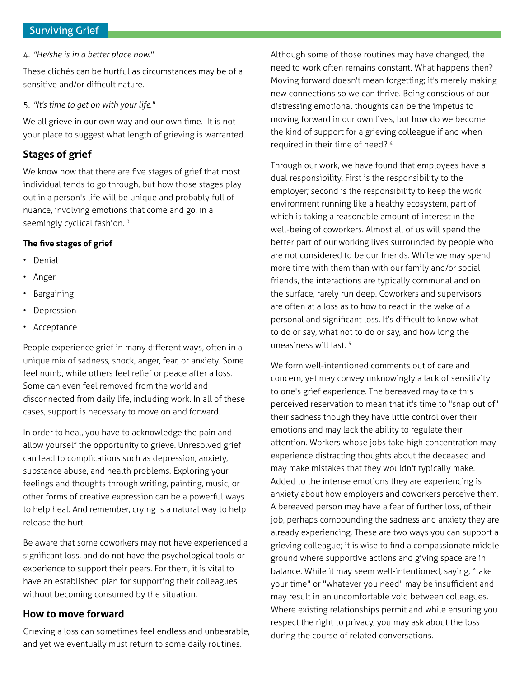# Surviving Grief

4. *"He/she is in a better place now."*

These clichés can be hurtful as circumstances may be of a sensitive and/or difficult nature.

5. *"It's time to get on with your life."*

We all grieve in our own way and our own time. It is not your place to suggest what length of grieving is warranted.

# **Stages of grief**

We know now that there are five stages of grief that most individual tends to go through, but how those stages play out in a person's life will be unique and probably full of nuance, involving emotions that come and go, in a seemingly cyclical fashion.<sup>3</sup>

#### **The five stages of grief**

- Denial
- Anger
- **Bargaining**
- **Depression**
- Acceptance

People experience grief in many different ways, often in a unique mix of sadness, shock, anger, fear, or anxiety. Some feel numb, while others feel relief or peace after a loss. Some can even feel removed from the world and disconnected from daily life, including work. In all of these cases, support is necessary to move on and forward.

In order to heal, you have to acknowledge the pain and allow yourself the opportunity to grieve. Unresolved grief can lead to complications such as depression, anxiety, substance abuse, and health problems. Exploring your feelings and thoughts through writing, painting, music, or other forms of creative expression can be a powerful ways to help heal. And remember, crying is a natural way to help release the hurt.

Be aware that some coworkers may not have experienced a significant loss, and do not have the psychological tools or experience to support their peers. For them, it is vital to have an established plan for supporting their colleagues without becoming consumed by the situation.

# **How to move forward**

Grieving a loss can sometimes feel endless and unbearable, and yet we eventually must return to some daily routines.

Although some of those routines may have changed, the need to work often remains constant. What happens then? Moving forward doesn't mean forgetting; it's merely making new connections so we can thrive. Being conscious of our distressing emotional thoughts can be the impetus to moving forward in our own lives, but how do we become the kind of support for a grieving colleague if and when required in their time of need? 4

Through our work, we have found that employees have a dual responsibility. First is the responsibility to the employer; second is the responsibility to keep the work environment running like a healthy ecosystem, part of which is taking a reasonable amount of interest in the well-being of coworkers. Almost all of us will spend the better part of our working lives surrounded by people who are not considered to be our friends. While we may spend more time with them than with our family and/or social friends, the interactions are typically communal and on the surface, rarely run deep. Coworkers and supervisors are often at a loss as to how to react in the wake of a personal and significant loss. It's difficult to know what to do or say, what not to do or say, and how long the uneasiness will last. 5

We form well-intentioned comments out of care and concern, yet may convey unknowingly a lack of sensitivity to one's grief experience. The bereaved may take this perceived reservation to mean that it's time to "snap out of" their sadness though they have little control over their emotions and may lack the ability to regulate their attention. Workers whose jobs take high concentration may experience distracting thoughts about the deceased and may make mistakes that they wouldn't typically make. Added to the intense emotions they are experiencing is anxiety about how employers and coworkers perceive them. A bereaved person may have a fear of further loss, of their job, perhaps compounding the sadness and anxiety they are already experiencing. These are two ways you can support a grieving colleague; it is wise to find a compassionate middle ground where supportive actions and giving space are in balance. While it may seem well-intentioned, saying, "take your time" or "whatever you need" may be insufficient and may result in an uncomfortable void between colleagues. Where existing relationships permit and while ensuring you respect the right to privacy, you may ask about the loss during the course of related conversations.